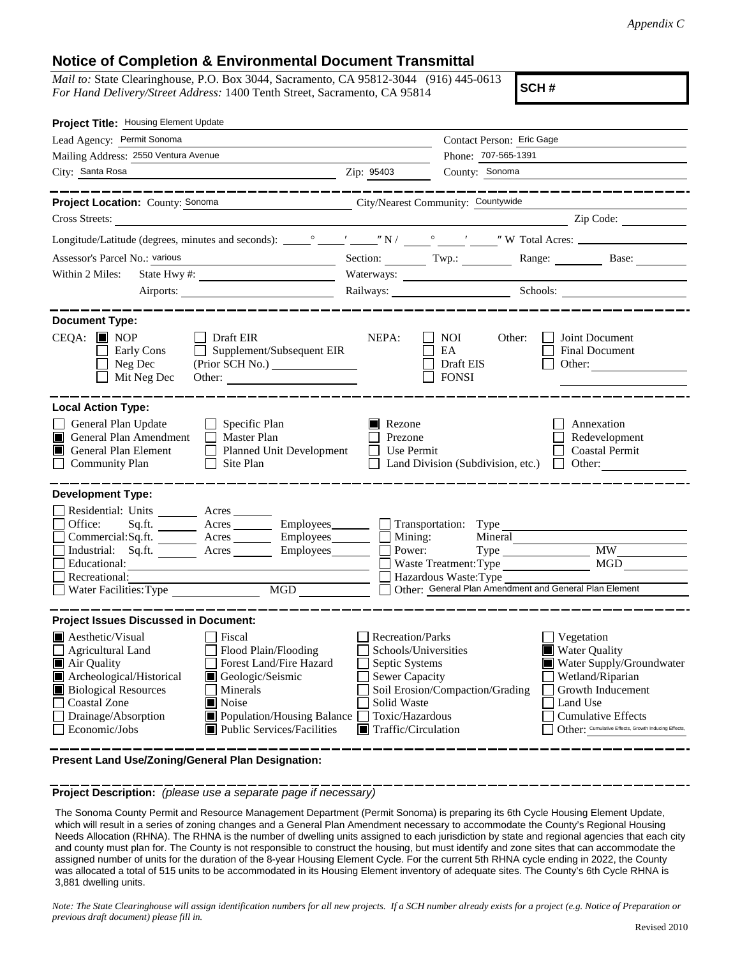## **Notice of Completion & Environmental Document Transmittal**

*Mail to:* State Clearinghouse, P.O. Box 3044, Sacramento, CA 95812-3044 (916) 445-0613 *For Hand Delivery/Street Address:* 1400 Tenth Street, Sacramento, CA 95814

**SCH #**

| Project Title: Housing Element Update                                                                                                                                                                     |                                                                                                                                                                               |                                                                                                                                     |                                                                                                     |                                         |                                                                                                                                                       |  |
|-----------------------------------------------------------------------------------------------------------------------------------------------------------------------------------------------------------|-------------------------------------------------------------------------------------------------------------------------------------------------------------------------------|-------------------------------------------------------------------------------------------------------------------------------------|-----------------------------------------------------------------------------------------------------|-----------------------------------------|-------------------------------------------------------------------------------------------------------------------------------------------------------|--|
| Lead Agency: Permit Sonoma                                                                                                                                                                                |                                                                                                                                                                               |                                                                                                                                     | Contact Person: Eric Gage                                                                           |                                         |                                                                                                                                                       |  |
| Mailing Address: 2550 Ventura Avenue                                                                                                                                                                      |                                                                                                                                                                               | Phone: 707-565-1391                                                                                                                 |                                                                                                     |                                         |                                                                                                                                                       |  |
| City: Santa Rosa                                                                                                                                                                                          |                                                                                                                                                                               | Zip: 95403                                                                                                                          | County: Sonoma                                                                                      |                                         |                                                                                                                                                       |  |
| Project Location: County: Sonoma                                                                                                                                                                          | City/Nearest Community: Countywide                                                                                                                                            |                                                                                                                                     |                                                                                                     |                                         |                                                                                                                                                       |  |
|                                                                                                                                                                                                           |                                                                                                                                                                               |                                                                                                                                     |                                                                                                     |                                         |                                                                                                                                                       |  |
|                                                                                                                                                                                                           |                                                                                                                                                                               |                                                                                                                                     |                                                                                                     |                                         |                                                                                                                                                       |  |
| Assessor's Parcel No.: various<br><u> 1989 - Johann Barbara, martxa alemaniar a</u>                                                                                                                       |                                                                                                                                                                               |                                                                                                                                     | Section: Twp.: Twp.: Range: Base: Base:                                                             |                                         |                                                                                                                                                       |  |
| Within 2 Miles:                                                                                                                                                                                           |                                                                                                                                                                               |                                                                                                                                     |                                                                                                     |                                         |                                                                                                                                                       |  |
| Airports:                                                                                                                                                                                                 |                                                                                                                                                                               |                                                                                                                                     | Railways: Schools: Schools:                                                                         |                                         |                                                                                                                                                       |  |
|                                                                                                                                                                                                           | . __ __ __ __ __ __ __ __ __                                                                                                                                                  |                                                                                                                                     |                                                                                                     |                                         |                                                                                                                                                       |  |
| <b>Document Type:</b><br>$CEQA:$ MOP<br>Early Cons<br>Neg Dec<br>Mit Neg Dec                                                                                                                              | $\Box$ Draft EIR<br>$\Box$ Supplement/Subsequent EIR                                                                                                                          | NEPA:                                                                                                                               | <b>NOI</b><br>Other:<br>$\mathbf{I}$<br>$\Box$<br>EA<br>Draft EIS<br><b>FONSI</b>                   | Joint Document                          | Final Document<br>Other:                                                                                                                              |  |
| <b>Local Action Type:</b>                                                                                                                                                                                 |                                                                                                                                                                               |                                                                                                                                     |                                                                                                     |                                         |                                                                                                                                                       |  |
| General Plan Update<br>General Plan Amendment<br>П<br>General Plan Element<br>$\Box$<br><b>Community Plan</b>                                                                                             | $\Box$ Specific Plan<br>$\Box$ Master Plan<br>Planned Unit Development<br>Site Plan                                                                                           | Rezone<br>Prezone<br>Use Permit                                                                                                     | Land Division (Subdivision, etc.) $\Box$ Other:                                                     |                                         | Annexation<br>Redevelopment<br><b>Coastal Permit</b>                                                                                                  |  |
| <b>Development Type:</b>                                                                                                                                                                                  |                                                                                                                                                                               |                                                                                                                                     |                                                                                                     |                                         |                                                                                                                                                       |  |
| Residential: Units _______ Acres _____<br>Office:<br>Sq.fit.<br>Industrial: Sq.ft. _______ Acres _______ Employees_______<br>Educational:<br>Recreational:<br>Water Facilities: Type                      | Acres Employees Transportation: Type<br>Commercial:Sq.ft. <u>Acres</u> Acres Employees<br>MGD                                                                                 | Power:                                                                                                                              | Mining:<br>Waste Treatment: Type<br>Hazardous Waste: Type Theorem Contains and General Plan Element | Mineral                                 | <b>MW</b><br>MGD                                                                                                                                      |  |
| <b>Project Issues Discussed in Document:</b>                                                                                                                                                              |                                                                                                                                                                               |                                                                                                                                     |                                                                                                     |                                         |                                                                                                                                                       |  |
| $\blacksquare$ Aesthetic/Visual<br><b>Agricultural Land</b><br>Air Quality<br>Archeological/Historical<br>О<br><b>Biological Resources</b><br><b>Coastal Zone</b><br>Drainage/Absorption<br>Economic/Jobs | Fiscal<br>Flood Plain/Flooding<br>Forest Land/Fire Hazard<br>Geologic/Seismic<br>Minerals<br>$\blacksquare$ Noise<br>Population/Housing Balance<br>Public Services/Facilities | Recreation/Parks<br>Septic Systems<br><b>Sewer Capacity</b><br>Solid Waste<br>Toxic/Hazardous<br>$\blacksquare$ Traffic/Circulation | Schools/Universities<br>Soil Erosion/Compaction/Grading                                             | Vegetation<br>Water Quality<br>Land Use | Water Supply/Groundwater<br>Wetland/Riparian<br>Growth Inducement<br><b>Cumulative Effects</b><br>Other: Cumulative Effects, Growth Inducing Effects, |  |

**Present Land Use/Zoning/General Plan Designation:**

**Project Description:** *(please use a separate page if necessary)*

 The Sonoma County Permit and Resource Management Department (Permit Sonoma) is preparing its 6th Cycle Housing Element Update, which will result in a series of zoning changes and a General Plan Amendment necessary to accommodate the County's Regional Housing Needs Allocation (RHNA). The RHNA is the number of dwelling units assigned to each jurisdiction by state and regional agencies that each city and county must plan for. The County is not responsible to construct the housing, but must identify and zone sites that can accommodate the assigned number of units for the duration of the 8-year Housing Element Cycle. For the current 5th RHNA cycle ending in 2022, the County was allocated a total of 515 units to be accommodated in its Housing Element inventory of adequate sites. The County's 6th Cycle RHNA is 3,881 dwelling units.

*Note: The State Clearinghouse will assign identification numbers for all new projects. If a SCH number already exists for a project (e.g. Notice of Preparation or previous draft document) please fill in.*